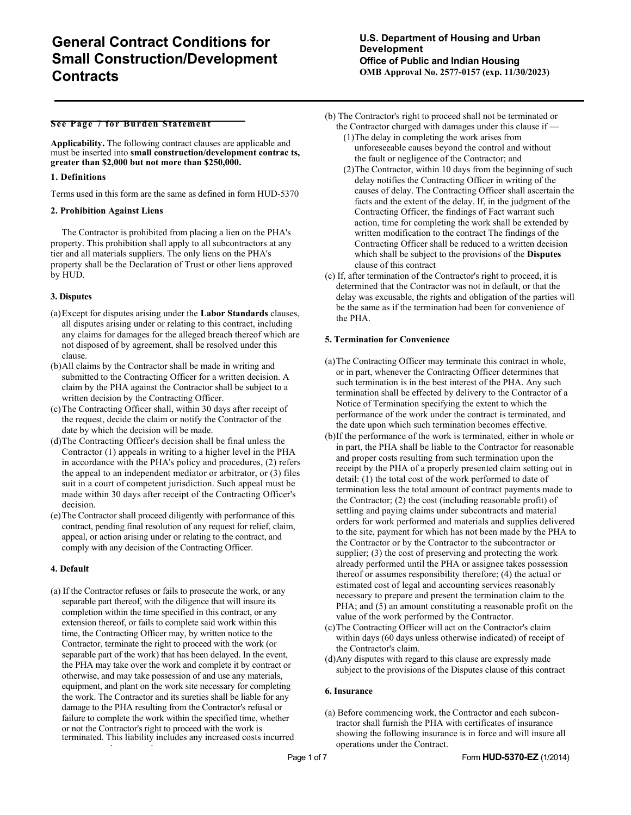#### **See Page 7 for Burden Statement**

**Applicability.** The following contract clauses are applicable and must be inserted into **small construction/development contrac ts, greater than \$2,000 but not more than \$250,000.**

### **1. Definitions**

Terms used in this form are the same as defined in form HUD-5370

### **2. Prohibition Against Liens**

The Contractor is prohibited from placing a lien on the PHA's property. This prohibition shall apply to all subcontractors at any tier and all materials suppliers. The only liens on the PHA's property shall be the Declaration of Trust or other liens approved by HUD.

## **3. Disputes**

- (a)Except for disputes arising under the **Labor Standards** clauses, all disputes arising under or relating to this contract, including any claims for damages for the alleged breach thereof which are not disposed of by agreement, shall be resolved under this clause.
- (b)All claims by the Contractor shall be made in writing and submitted to the Contracting Officer for a written decision. A claim by the PHA against the Contractor shall be subject to a written decision by the Contracting Officer.
- (c)The Contracting Officer shall, within 30 days after receipt of the request, decide the claim or notify the Contractor of the date by which the decision will be made.
- (d)The Contracting Officer's decision shall be final unless the Contractor (1) appeals in writing to a higher level in the PHA in accordance with the PHA's policy and procedures, (2) refers the appeal to an independent mediator or arbitrator, or (3) files suit in a court of competent jurisdiction. Such appeal must be made within 30 days after receipt of the Contracting Officer's decision.
- (e)The Contractor shall proceed diligently with performance of this contract, pending final resolution of any request for relief, claim, appeal, or action arising under or relating to the contract, and comply with any decision of the Contracting Officer.

# **4. Default**

(a) If the Contractor refuses or fails to prosecute the work, or any separable part thereof, with the diligence that will insure its completion within the time specified in this contract, or any extension thereof, or fails to complete said work within this time, the Contracting Officer may, by written notice to the Contractor, terminate the right to proceed with the work (or separable part of the work) that has been delayed. In the event, the PHA may take over the work and complete it by contract or otherwise, and may take possession of and use any materials, equipment, and plant on the work site necessary for completing the work. The Contractor and its sureties shall be liable for any damage to the PHA resulting from the Contractor's refusal or failure to complete the work within the specified time, whether or not the Contractor's right to proceed with the work is terminated. This liability includes any increased costs incurred

- (b) The Contractor's right to proceed shall not be terminated or the Contractor charged with damages under this clause if —
	- (1)The delay in completing the work arises from unforeseeable causes beyond the control and without the fault or negligence of the Contractor; and
	- (2)The Contractor, within 10 days from the beginning of such delay notifies the Contracting Officer in writing of the causes of delay. The Contracting Officer shall ascertain the facts and the extent of the delay. If, in the judgment of the Contracting Officer, the findings of Fact warrant such action, time for completing the work shall be extended by written modification to the contract The findings of the Contracting Officer shall be reduced to a written decision which shall be subject to the provisions of the **Disputes**  clause of this contract
- (c) If, after termination of the Contractor's right to proceed, it is determined that the Contractor was not in default, or that the delay was excusable, the rights and obligation of the parties will be the same as if the termination had been for convenience of the PHA.

## **5. Termination for Convenience**

- (a)The Contracting Officer may terminate this contract in whole, or in part, whenever the Contracting Officer determines that such termination is in the best interest of the PHA. Any such termination shall be effected by delivery to the Contractor of a Notice of Termination specifying the extent to which the performance of the work under the contract is terminated, and the date upon which such termination becomes effective.
- (b)If the performance of the work is terminated, either in whole or in part, the PHA shall be liable to the Contractor for reasonable and proper costs resulting from such termination upon the receipt by the PHA of a properly presented claim setting out in detail: (1) the total cost of the work performed to date of termination less the total amount of contract payments made to the Contractor; (2) the cost (including reasonable profit) of settling and paying claims under subcontracts and material orders for work performed and materials and supplies delivered to the site, payment for which has not been made by the PHA to the Contractor or by the Contractor to the subcontractor or supplier; (3) the cost of preserving and protecting the work already performed until the PHA or assignee takes possession thereof or assumes responsibility therefore; (4) the actual or estimated cost of legal and accounting services reasonably necessary to prepare and present the termination claim to the PHA; and  $(5)$  an amount constituting a reasonable profit on the value of the work performed by the Contractor.
- (c)The Contracting Officer will act on the Contractor's claim within days (60 days unless otherwise indicated) of receipt of the Contractor's claim.
- (d)Any disputes with regard to this clause are expressly made subject to the provisions of the Disputes clause of this contract

### **6. Insurance**

(a) Before commencing work, the Contractor and each subcontractor shall furnish the PHA with certificates of insurance showing the following insurance is in force and will insure all operations under the Contract.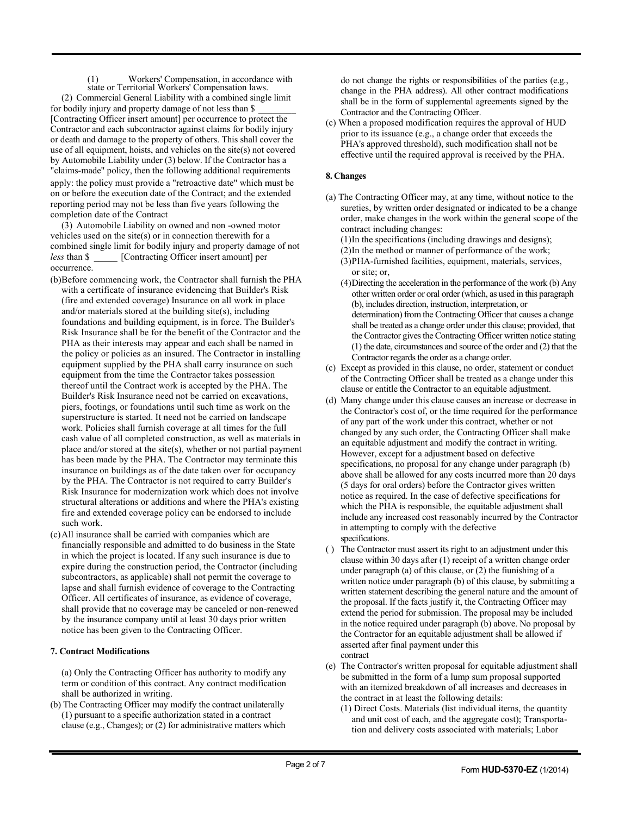(1) Workers' Compensation, in accordance with state or Territorial Workers' Compensation laws. (2) Commercial General Liability with a combined single limit for bodily injury and property damage of not less than \$ [Contracting Officer insert amount] per occurrence to protect the Contractor and each subcontractor against claims for bodily injury or death and damage to the property of others. This shall cover the use of all equipment, hoists, and vehicles on the site(s) not covered by Automobile Liability under (3) below. If the Contractor has a "claims-made" policy, then the following additional requirements apply: the policy must provide a "retroactive date" which must be on or before the execution date of the Contract; and the extended reporting period may not be less than five years following the completion date of the Contract

(3) Automobile Liability on owned and non -owned motor vehicles used on the site(s) or in connection therewith for a combined single limit for bodily injury and property damage of not *less* than \$ [Contracting Officer insert amount] per occurrence.

- (b)Before commencing work, the Contractor shall furnish the PHA with a certificate of insurance evidencing that Builder's Risk (fire and extended coverage) Insurance on all work in place and/or materials stored at the building site(s), including foundations and building equipment, is in force. The Builder's Risk Insurance shall be for the benefit of the Contractor and the PHA as their interests may appear and each shall be named in the policy or policies as an insured. The Contractor in installing equipment supplied by the PHA shall carry insurance on such equipment from the time the Contractor takes possession thereof until the Contract work is accepted by the PHA. The Builder's Risk Insurance need not be carried on excavations, piers, footings, or foundations until such time as work on the superstructure is started. It need not be carried on landscape work. Policies shall furnish coverage at all times for the full cash value of all completed construction, as well as materials in place and/or stored at the site(s), whether or not partial payment has been made by the PHA. The Contractor may terminate this insurance on buildings as of the date taken over for occupancy by the PHA. The Contractor is not required to carry Builder's Risk Insurance for modernization work which does not involve structural alterations or additions and where the PHA's existing fire and extended coverage policy can be endorsed to include such work.
- (c)All insurance shall be carried with companies which are financially responsible and admitted to do business in the State in which the project is located. If any such insurance is due to expire during the construction period, the Contractor (including subcontractors, as applicable) shall not permit the coverage to lapse and shall furnish evidence of coverage to the Contracting Officer. All certificates of insurance, as evidence of coverage, shall provide that no coverage may be canceled or non-renewed by the insurance company until at least 30 days prior written notice has been given to the Contracting Officer.

# **7. Contract Modifications**

(a) Only the Contracting Officer has authority to modify any term or condition of this contract. Any contract modification shall be authorized in writing.

(b) The Contracting Officer may modify the contract unilaterally (1) pursuant to a specific authorization stated in a contract clause (e.g., Changes); or (2) for administrative matters which do not change the rights or responsibilities of the parties (e.g., change in the PHA address). All other contract modifications shall be in the form of supplemental agreements signed by the Contractor and the Contracting Officer.

(c) When a proposed modification requires the approval of HUD prior to its issuance (e.g., a change order that exceeds the PHA's approved threshold), such modification shall not be effective until the required approval is received by the PHA.

# **8. Changes**

(a) The Contracting Officer may, at any time, without notice to the sureties, by written order designated or indicated to be a change order, make changes in the work within the general scope of the contract including changes:

(1)In the specifications (including drawings and designs); (2)In the method or manner of performance of the work; (3)PHA-furnished facilities, equipment, materials, services, or site; or,

- (4)Directing the acceleration in the performance of the work (b) Any other written order or oral order (which, as used in this paragraph (b), includes direction, instruction, interpretation, or determination) from the Contracting Officer that causes a change shall be treated as a change order under this clause; provided, that the Contractor gives the Contracting Officer written notice stating (1) the date, circumstances and source of the order and (2) that the Contractor regards the order as a change order.
- (c) Except as provided in this clause, no order, statement or conduct of the Contracting Officer shall be treated as a change under this clause or entitle the Contractor to an equitable adjustment.
- (d) Many change under this clause causes an increase or decrease in the Contractor's cost of, or the time required for the performance of any part of the work under this contract, whether or not changed by any such order, the Contracting Officer shall make an equitable adjustment and modify the contract in writing. However, except for a adjustment based on defective specifications, no proposal for any change under paragraph (b) above shall be allowed for any costs incurred more than 20 days (5 days for oral orders) before the Contractor gives written notice as required. In the case of defective specifications for which the PHA is responsible, the equitable adjustment shall include any increased cost reasonably incurred by the Contractor in attempting to comply with the defective specifications.
- ( ) The Contractor must assert its right to an adjustment under this clause within 30 days after (1) receipt of a written change order under paragraph (a) of this clause, or (2) the fiunishing of a written notice under paragraph (b) of this clause, by submitting a written statement describing the general nature and the amount of the proposal. If the facts justify it, the Contracting Officer may extend the period for submission. The proposal may be included in the notice required under paragraph (b) above. No proposal by the Contractor for an equitable adjustment shall be allowed if asserted after final payment under this contract
- (e) The Contractor's written proposal for equitable adjustment shall be submitted in the form of a lump sum proposal supported with an itemized breakdown of all increases and decreases in the contract in at least the following details:
	- (1) Direct Costs. Materials (list individual items, the quantity and unit cost of each, and the aggregate cost); Transportation and delivery costs associated with materials; Labor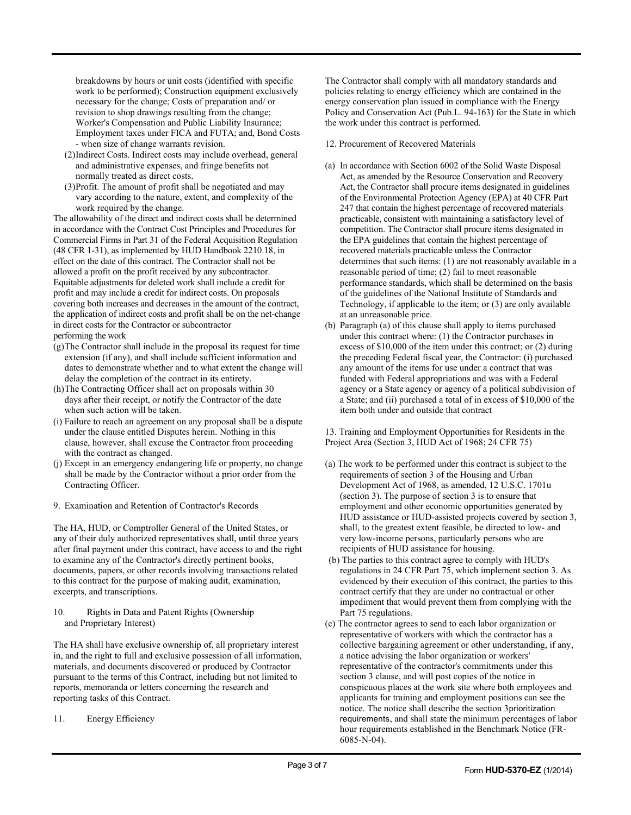breakdowns by hours or unit costs (identified with specific work to be performed); Construction equipment exclusively necessary for the change; Costs of preparation and/ or revision to shop drawings resulting from the change; Worker's Compensation and Public Liability Insurance; Employment taxes under FICA and FUTA; and, Bond Costs - when size of change warrants revision.

- (2)Indirect Costs. Indirect costs may include overhead, general and administrative expenses, and fringe benefits not normally treated as direct costs.
- (3)Profit. The amount of profit shall be negotiated and may vary according to the nature, extent, and complexity of the work required by the change.

The allowability of the direct and indirect costs shall be determined in accordance with the Contract Cost Principles and Procedures for Commercial Firms in Part 31 of the Federal Acquisition Regulation (48 CFR 1-31), as implemented by HUD Handbook 2210.18, in effect on the date of this contract. The Contractor shall not be allowed a profit on the profit received by any subcontractor. Equitable adjustments for deleted work shall include a credit for profit and may include a credit for indirect costs. On proposals covering both increases and decreases in the amount of the contract, the application of indirect costs and profit shall be on the net-change in direct costs for the Contractor or subcontractor performing the work

- (g)The Contractor shall include in the proposal its request for time extension (if any), and shall include sufficient information and dates to demonstrate whether and to what extent the change will delay the completion of the contract in its entirety.
- (h)The Contracting Officer shall act on proposals within 30 days after their receipt, or notify the Contractor of the date when such action will be taken.
- (i) Failure to reach an agreement on any proposal shall be a dispute under the clause entitled Disputes herein. Nothing in this clause, however, shall excuse the Contractor from proceeding with the contract as changed.
- (j) Except in an emergency endangering life or property, no change shall be made by the Contractor without a prior order from the Contracting Officer.
- 9. Examination and Retention of Contractor's Records

The HA, HUD, or Comptroller General of the United States, or any of their duly authorized representatives shall, until three years after final payment under this contract, have access to and the right to examine any of the Contractor's directly pertinent books, documents, papers, or other records involving transactions related to this contract for the purpose of making audit, examination, excerpts, and transcriptions.

10. Rights in Data and Patent Rights (Ownership and Proprietary Interest)

The HA shall have exclusive ownership of, all proprietary interest in, and the right to full and exclusive possession of all information, materials, and documents discovered or produced by Contractor pursuant to the terms of this Contract, including but not limited to reports, memoranda or letters concerning the research and reporting tasks of this Contract.

11. Energy Efficiency

The Contractor shall comply with all mandatory standards and policies relating to energy efficiency which are contained in the energy conservation plan issued in compliance with the Energy Policy and Conservation Act (Pub.L. 94-163) for the State in which the work under this contract is performed.

- 12. Procurement of Recovered Materials
- (a) In accordance with Section 6002 of the Solid Waste Disposal Act, as amended by the Resource Conservation and Recovery Act, the Contractor shall procure items designated in guidelines of the Environmental Protection Agency (EPA) at 40 CFR Part 247 that contain the highest percentage of recovered materials practicable, consistent with maintaining a satisfactory level of competition. The Contractor shall procure items designated in the EPA guidelines that contain the highest percentage of recovered materials practicable unless the Contractor determines that such items: (1) are not reasonably available in a reasonable period of time; (2) fail to meet reasonable performance standards, which shall be determined on the basis of the guidelines of the National Institute of Standards and Technology, if applicable to the item; or (3) are only available at an unreasonable price.
- (b) Paragraph (a) of this clause shall apply to items purchased under this contract where: (1) the Contractor purchases in excess of \$10,000 of the item under this contract; or (2) during the preceding Federal fiscal year, the Contractor: (i) purchased any amount of the items for use under a contract that was funded with Federal appropriations and was with a Federal agency or a State agency or agency of a political subdivision of a State; and (ii) purchased a total of in excess of \$10,000 of the item both under and outside that contract

13. Training and Employment Opportunities for Residents in the Project Area (Section 3, HUD Act of 1968; 24 CFR 75)

- (a) The work to be performed under this contract is subject to the requirements of section 3 of the Housing and Urban Development Act of 1968, as amended, 12 U.S.C. 1701u (section 3). The purpose of section 3 is to ensure that employment and other economic opportunities generated by HUD assistance or HUD-assisted projects covered by section 3, shall, to the greatest extent feasible, be directed to low- and very low-income persons, particularly persons who are recipients of HUD assistance for housing.
- (b) The parties to this contract agree to comply with HUD's regulations in 24 CFR Part 75, which implement section 3. As evidenced by their execution of this contract, the parties to this contract certify that they are under no contractual or other impediment that would prevent them from complying with the Part 75 regulations.
- (c) The contractor agrees to send to each labor organization or representative of workers with which the contractor has a collective bargaining agreement or other understanding, if any, a notice advising the labor organization or workers' representative of the contractor's commitments under this section 3 clause, and will post copies of the notice in conspicuous places at the work site where both employees and applicants for training and employment positions can see the notice. The notice shall describe the section 3prioritization requirements, and shall state the minimum percentages of labor hour requirements established in the Benchmark Notice (FR-6085-N-04).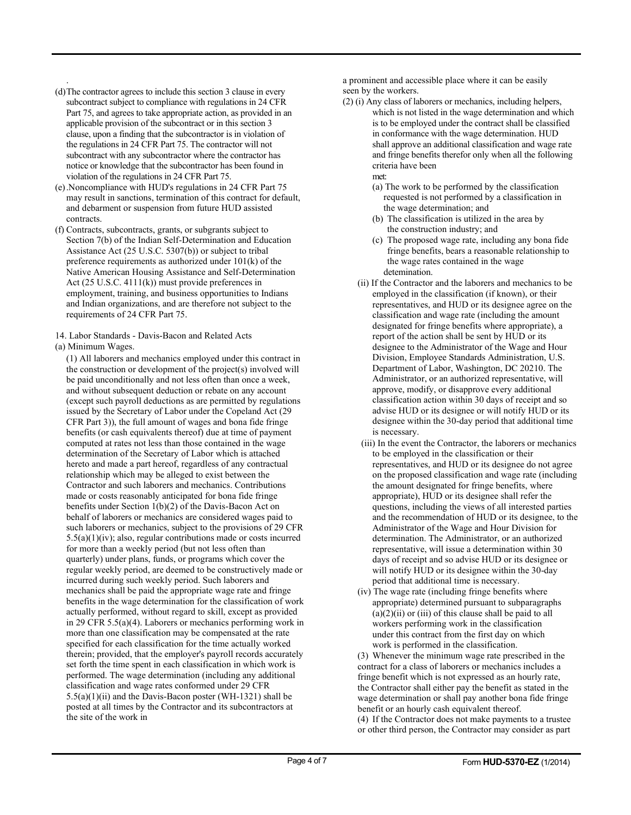- . (d)The contractor agrees to include this section 3 clause in every subcontract subject to compliance with regulations in 24 CFR Part 75, and agrees to take appropriate action, as provided in an applicable provision of the subcontract or in this section 3 clause, upon a finding that the subcontractor is in violation of the regulations in 24 CFR Part 75. The contractor will not subcontract with any subcontractor where the contractor has notice or knowledge that the subcontractor has been found in violation of the regulations in 24 CFR Part 75.
- (e).Noncompliance with HUD's regulations in 24 CFR Part 75 may result in sanctions, termination of this contract for default, and debarment or suspension from future HUD assisted contracts.
- (f) Contracts, subcontracts, grants, or subgrants subject to Section 7(b) of the Indian Self-Determination and Education Assistance Act (25 U.S.C. 5307(b)) or subject to tribal preference requirements as authorized under 101(k) of the Native American Housing Assistance and Self-Determination Act (25 U.S.C. 4111(k)) must provide preferences in employment, training, and business opportunities to Indians and Indian organizations, and are therefore not subject to the requirements of 24 CFR Part 75.
- 14. Labor Standards Davis-Bacon and Related Acts
- (a) Minimum Wages.

(1) All laborers and mechanics employed under this contract in the construction or development of the project(s) involved will be paid unconditionally and not less often than once a week, and without subsequent deduction or rebate on any account (except such payroll deductions as are permitted by regulations issued by the Secretary of Labor under the Copeland Act (29 CFR Part 3)), the full amount of wages and bona fide fringe benefits (or cash equivalents thereof) due at time of payment computed at rates not less than those contained in the wage determination of the Secretary of Labor which is attached hereto and made a part hereof, regardless of any contractual relationship which may be alleged to exist between the Contractor and such laborers and mechanics. Contributions made or costs reasonably anticipated for bona fide fringe benefits under Section 1(b)(2) of the Davis-Bacon Act on behalf of laborers or mechanics are considered wages paid to such laborers or mechanics, subject to the provisions of 29 CFR  $5.5(a)(1)(iv)$ ; also, regular contributions made or costs incurred for more than a weekly period (but not less often than quarterly) under plans, funds, or programs which cover the regular weekly period, are deemed to be constructively made or incurred during such weekly period. Such laborers and mechanics shall be paid the appropriate wage rate and fringe benefits in the wage determination for the classification of work actually performed, without regard to skill, except as provided in 29 CFR 5.5(a)(4). Laborers or mechanics performing work in more than one classification may be compensated at the rate specified for each classification for the time actually worked therein; provided, that the employer's payroll records accurately set forth the time spent in each classification in which work is performed. The wage determination (including any additional classification and wage rates conformed under 29 CFR  $5.5(a)(1)(ii)$  and the Davis-Bacon poster (WH-1321) shall be posted at all times by the Contractor and its subcontractors at the site of the work in

a prominent and accessible place where it can be easily seen by the workers.

- (2) (i) Any class of laborers or mechanics, including helpers, which is not listed in the wage determination and which is to be employed under the contract shall be classified in conformance with the wage determination. HUD shall approve an additional classification and wage rate and fringe benefits therefor only when all the following criteria have been
	- met:
	- (a) The work to be performed by the classification requested is not performed by a classification in the wage determination; and
	- (b) The classification is utilized in the area by the construction industry; and
	- (c) The proposed wage rate, including any bona fide fringe benefits, bears a reasonable relationship to the wage rates contained in the wage detemination.
	- (ii) If the Contractor and the laborers and mechanics to be employed in the classification (if known), or their representatives, and HUD or its designee agree on the classification and wage rate (including the amount designated for fringe benefits where appropriate), a report of the action shall be sent by HUD or its designee to the Administrator of the Wage and Hour Division, Employee Standards Administration, U.S. Department of Labor, Washington, DC 20210. The Administrator, or an authorized representative, will approve, modify, or disapprove every additional classification action within 30 days of receipt and so advise HUD or its designee or will notify HUD or its designee within the 30-day period that additional time is necessary.
	- (iii) In the event the Contractor, the laborers or mechanics to be employed in the classification or their representatives, and HUD or its designee do not agree on the proposed classification and wage rate (including the amount designated for fringe benefits, where appropriate), HUD or its designee shall refer the questions, including the views of all interested parties and the recommendation of HUD or its designee, to the Administrator of the Wage and Hour Division for determination. The Administrator, or an authorized representative, will issue a determination within 30 days of receipt and so advise HUD or its designee or will notify HUD or its designee within the 30-day period that additional time is necessary.
	- (iv) The wage rate (including fringe benefits where appropriate) determined pursuant to subparagraphs  $(a)(2)(ii)$  or  $(iii)$  of this clause shall be paid to all workers performing work in the classification under this contract from the first day on which work is performed in the classification.

(3) Whenever the minimum wage rate prescribed in the contract for a class of laborers or mechanics includes a fringe benefit which is not expressed as an hourly rate, the Contractor shall either pay the benefit as stated in the wage determination or shall pay another bona fide fringe benefit or an hourly cash equivalent thereof.

(4) If the Contractor does not make payments to a trustee or other third person, the Contractor may consider as part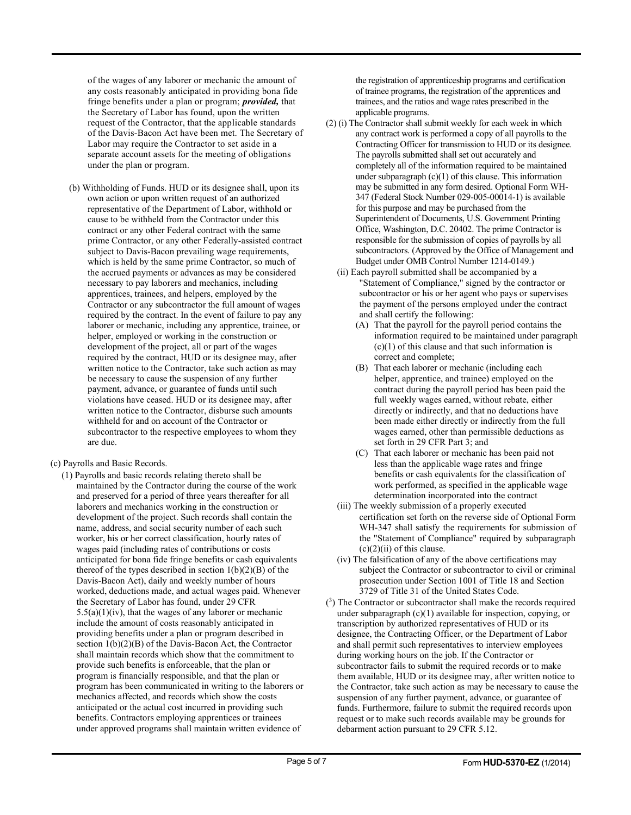of the wages of any laborer or mechanic the amount of any costs reasonably anticipated in providing bona fide fringe benefits under a plan or program; *provided,* that the Secretary of Labor has found, upon the written request of the Contractor, that the applicable standards of the Davis-Bacon Act have been met. The Secretary of Labor may require the Contractor to set aside in a separate account assets for the meeting of obligations under the plan or program.

- (b) Withholding of Funds. HUD or its designee shall, upon its own action or upon written request of an authorized representative of the Department of Labor, withhold or cause to be withheld from the Contractor under this contract or any other Federal contract with the same prime Contractor, or any other Federally-assisted contract subject to Davis-Bacon prevailing wage requirements, which is held by the same prime Contractor, so much of the accrued payments or advances as may be considered necessary to pay laborers and mechanics, including apprentices, trainees, and helpers, employed by the Contractor or any subcontractor the full amount of wages required by the contract. In the event of failure to pay any laborer or mechanic, including any apprentice, trainee, or helper, employed or working in the construction or development of the project, all or part of the wages required by the contract, HUD or its designee may, after written notice to the Contractor, take such action as may be necessary to cause the suspension of any further payment, advance, or guarantee of funds until such violations have ceased. HUD or its designee may, after written notice to the Contractor, disburse such amounts withheld for and on account of the Contractor or subcontractor to the respective employees to whom they are due.
- (c) Payrolls and Basic Records.
	- (1) Payrolls and basic records relating thereto shall be maintained by the Contractor during the course of the work and preserved for a period of three years thereafter for all laborers and mechanics working in the construction or development of the project. Such records shall contain the name, address, and social security number of each such worker, his or her correct classification, hourly rates of wages paid (including rates of contributions or costs anticipated for bona fide fringe benefits or cash equivalents thereof of the types described in section  $1(b)(2)(B)$  of the Davis-Bacon Act), daily and weekly number of hours worked, deductions made, and actual wages paid. Whenever the Secretary of Labor has found, under 29 CFR  $5.5(a)(1)(iv)$ , that the wages of any laborer or mechanic include the amount of costs reasonably anticipated in providing benefits under a plan or program described in section  $1(b)(2)(B)$  of the Davis-Bacon Act, the Contractor shall maintain records which show that the commitment to provide such benefits is enforceable, that the plan or program is financially responsible, and that the plan or program has been communicated in writing to the laborers or mechanics affected, and records which show the costs anticipated or the actual cost incurred in providing such benefits. Contractors employing apprentices or trainees under approved programs shall maintain written evidence of

the registration of apprenticeship programs and certification of trainee programs, the registration of the apprentices and trainees, and the ratios and wage rates prescribed in the applicable programs.

- (2) (i) The Contractor shall submit weekly for each week in which any contract work is performed a copy of all payrolls to the Contracting Officer for transmission to HUD or its designee. The payrolls submitted shall set out accurately and completely all of the information required to be maintained under subparagraph  $(c)(1)$  of this clause. This information may be submitted in any form desired. Optional Form WH-347 (Federal Stock Number 029-005-00014-1) is available for this purpose and may be purchased from the Superintendent of Documents, U.S. Government Printing Office, Washington, D.C. 20402. The prime Contractor is responsible for the submission of copies of payrolls by all subcontractors. (Approved by the Office of Management and Budget under OMB Control Number 1214-0149.)
	- (ii) Each payroll submitted shall be accompanied by a "Statement of Compliance," signed by the contractor or subcontractor or his or her agent who pays or supervises the payment of the persons employed under the contract and shall certify the following:
		- (A) That the payroll for the payroll period contains the information required to be maintained under paragraph  $(c)(1)$  of this clause and that such information is correct and complete;
		- (B) That each laborer or mechanic (including each helper, apprentice, and trainee) employed on the contract during the payroll period has been paid the full weekly wages earned, without rebate, either directly or indirectly, and that no deductions have been made either directly or indirectly from the full wages earned, other than permissible deductions as set forth in 29 CFR Part 3; and
		- (C) That each laborer or mechanic has been paid not less than the applicable wage rates and fringe benefits or cash equivalents for the classification of work performed, as specified in the applicable wage determination incorporated into the contract
	- (iii) The weekly submission of a properly executed certification set forth on the reverse side of Optional Form WH-347 shall satisfy the requirements for submission of the "Statement of Compliance" required by subparagraph  $(c)(2)(ii)$  of this clause.
	- (iv) The falsification of any of the above certifications may subject the Contractor or subcontractor to civil or criminal prosecution under Section 1001 of Title 18 and Section 3729 of Title 31 of the United States Code.
- $(3)$  The Contractor or subcontractor shall make the records required under subparagraph (c)(1) available for inspection, copying, or transcription by authorized representatives of HUD or its designee, the Contracting Officer, or the Department of Labor and shall permit such representatives to interview employees during working hours on the job. If the Contractor or subcontractor fails to submit the required records or to make them available, HUD or its designee may, after written notice to the Contractor, take such action as may be necessary to cause the suspension of any further payment, advance, or guarantee of funds. Furthermore, failure to submit the required records upon request or to make such records available may be grounds for debarment action pursuant to 29 CFR 5.12.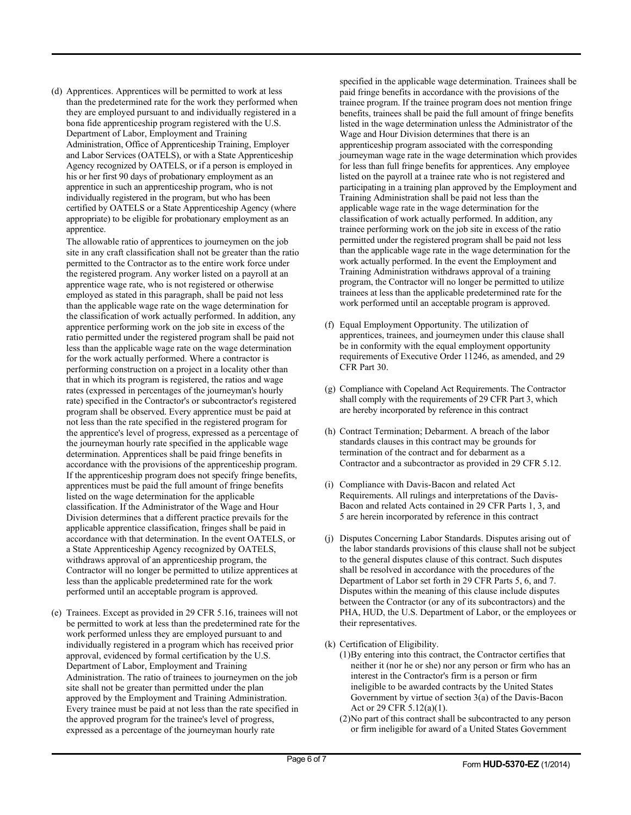(d) Apprentices. Apprentices will be permitted to work at less than the predetermined rate for the work they performed when they are employed pursuant to and individually registered in a bona fide apprenticeship program registered with the U.S. Department of Labor, Employment and Training Administration, Office of Apprenticeship Training, Employer and Labor Services (OATELS), or with a State Apprenticeship Agency recognized by OATELS, or if a person is employed in his or her first 90 days of probationary employment as an apprentice in such an apprenticeship program, who is not individually registered in the program, but who has been certified by OATELS or a State Apprenticeship Agency (where appropriate) to be eligible for probationary employment as an apprentice.

The allowable ratio of apprentices to journeymen on the job site in any craft classification shall not be greater than the ratio permitted to the Contractor as to the entire work force under the registered program. Any worker listed on a payroll at an apprentice wage rate, who is not registered or otherwise employed as stated in this paragraph, shall be paid not less than the applicable wage rate on the wage determination for the classification of work actually performed. In addition, any apprentice performing work on the job site in excess of the ratio permitted under the registered program shall be paid not less than the applicable wage rate on the wage determination for the work actually performed. Where a contractor is performing construction on a project in a locality other than that in which its program is registered, the ratios and wage rates (expressed in percentages of the journeyman's hourly rate) specified in the Contractor's or subcontractor's registered program shall be observed. Every apprentice must be paid at not less than the rate specified in the registered program for the apprentice's level of progress, expressed as a percentage of the journeyman hourly rate specified in the applicable wage determination. Apprentices shall be paid fringe benefits in accordance with the provisions of the apprenticeship program. If the apprenticeship program does not specify fringe benefits, apprentices must be paid the full amount of fringe benefits listed on the wage determination for the applicable classification. If the Administrator of the Wage and Hour Division determines that a different practice prevails for the applicable apprentice classification, fringes shall be paid in accordance with that determination. In the event OATELS, or a State Apprenticeship Agency recognized by OATELS, withdraws approval of an apprenticeship program, the Contractor will no longer be permitted to utilize apprentices at less than the applicable predetermined rate for the work performed until an acceptable program is approved.

(e) Trainees. Except as provided in 29 CFR 5.16, trainees will not be permitted to work at less than the predetermined rate for the work performed unless they are employed pursuant to and individually registered in a program which has received prior approval, evidenced by formal certification by the U.S. Department of Labor, Employment and Training Administration. The ratio of trainees to journeymen on the job site shall not be greater than permitted under the plan approved by the Employment and Training Administration. Every trainee must be paid at not less than the rate specified in the approved program for the trainee's level of progress, expressed as a percentage of the journeyman hourly rate

specified in the applicable wage determination. Trainees shall be paid fringe benefits in accordance with the provisions of the trainee program. If the trainee program does not mention fringe benefits, trainees shall be paid the full amount of fringe benefits listed in the wage determination unless the Administrator of the Wage and Hour Division determines that there is an apprenticeship program associated with the corresponding journeyman wage rate in the wage determination which provides for less than full fringe benefits for apprentices. Any employee listed on the payroll at a trainee rate who is not registered and participating in a training plan approved by the Employment and Training Administration shall be paid not less than the applicable wage rate in the wage determination for the classification of work actually performed. In addition, any trainee performing work on the job site in excess of the ratio permitted under the registered program shall be paid not less than the applicable wage rate in the wage determination for the work actually performed. In the event the Employment and Training Administration withdraws approval of a training program, the Contractor will no longer be permitted to utilize trainees at less than the applicable predetermined rate for the work performed until an acceptable program is approved.

- (f) Equal Employment Opportunity. The utilization of apprentices, trainees, and journeymen under this clause shall be in conformity with the equal employment opportunity requirements of Executive Order 11246, as amended, and 29 CFR Part 30.
- (g) Compliance with Copeland Act Requirements. The Contractor shall comply with the requirements of 29 CFR Part 3, which are hereby incorporated by reference in this contract
- (h) Contract Termination; Debarment. A breach of the labor standards clauses in this contract may be grounds for termination of the contract and for debarment as a Contractor and a subcontractor as provided in 29 CFR 5.12.
- (i) Compliance with Davis-Bacon and related Act Requirements. All rulings and interpretations of the Davis-Bacon and related Acts contained in 29 CFR Parts 1, 3, and 5 are herein incorporated by reference in this contract
- (j) Disputes Concerning Labor Standards. Disputes arising out of the labor standards provisions of this clause shall not be subject to the general disputes clause of this contract. Such disputes shall be resolved in accordance with the procedures of the Department of Labor set forth in 29 CFR Parts 5, 6, and 7. Disputes within the meaning of this clause include disputes between the Contractor (or any of its subcontractors) and the PHA, HUD, the U.S. Department of Labor, or the employees or their representatives.
- (k) Certification of Eligibility.
	- (1)By entering into this contract, the Contractor certifies that neither it (nor he or she) nor any person or firm who has an interest in the Contractor's firm is a person or firm ineligible to be awarded contracts by the United States Government by virtue of section 3(a) of the Davis-Bacon Act or 29 CFR 5.12(a)(1).
	- (2)No part of this contract shall be subcontracted to any person or firm ineligible for award of a United States Government